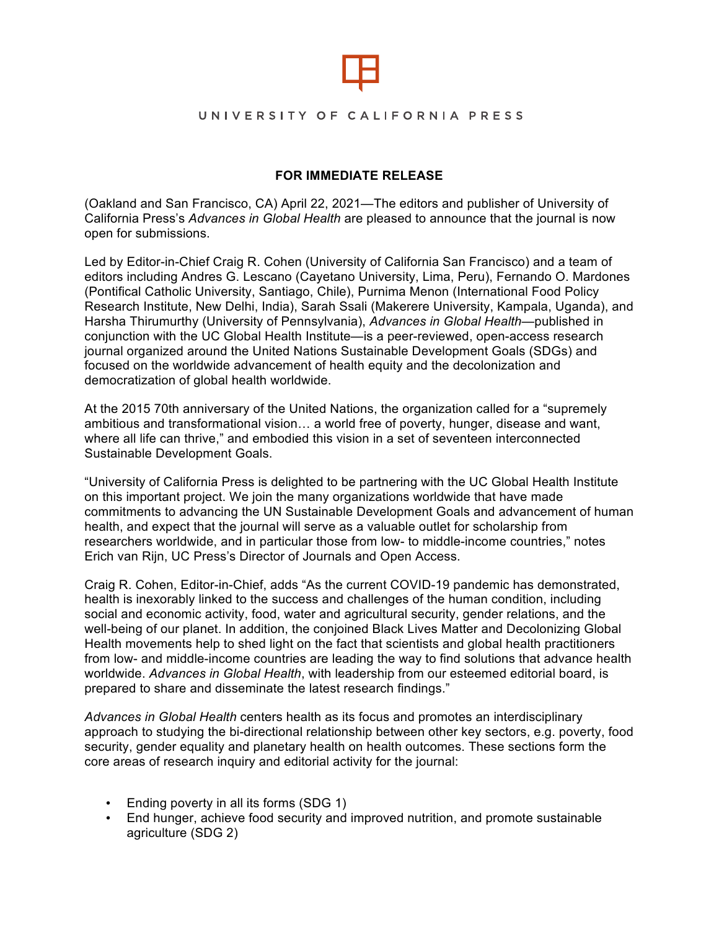

#### UNIVERSITY OF CALIFORNIA PRESS

## **FOR IMMEDIATE RELEASE**

(Oakland and San Francisco, CA) April 22, 2021—The editors and publisher of University of California Press's *Advances in Global Health* are pleased to announce that the journal is now open for submissions.

Led by Editor-in-Chief Craig R. Cohen (University of California San Francisco) and a team of editors including Andres G. Lescano (Cayetano University, Lima, Peru), Fernando O. Mardones (Pontifical Catholic University, Santiago, Chile), Purnima Menon (International Food Policy Research Institute, New Delhi, India), Sarah Ssali (Makerere University, Kampala, Uganda), and Harsha Thirumurthy (University of Pennsylvania), *Advances in Global Health*—published in conjunction with the UC Global Health Institute—is a peer-reviewed, open-access research journal organized around the United Nations Sustainable Development Goals (SDGs) and focused on the worldwide advancement of health equity and the decolonization and democratization of global health worldwide.

At the 2015 70th anniversary of the United Nations, the organization called for a "supremely ambitious and transformational vision… a world free of poverty, hunger, disease and want, where all life can thrive," and embodied this vision in a set of seventeen interconnected Sustainable Development Goals.

"University of California Press is delighted to be partnering with the UC Global Health Institute on this important project. We join the many organizations worldwide that have made commitments to advancing the UN Sustainable Development Goals and advancement of human health, and expect that the journal will serve as a valuable outlet for scholarship from researchers worldwide, and in particular those from low- to middle-income countries," notes Erich van Rijn, UC Press's Director of Journals and Open Access.

Craig R. Cohen, Editor-in-Chief, adds "As the current COVID-19 pandemic has demonstrated, health is inexorably linked to the success and challenges of the human condition, including social and economic activity, food, water and agricultural security, gender relations, and the well-being of our planet. In addition, the conjoined Black Lives Matter and Decolonizing Global Health movements help to shed light on the fact that scientists and global health practitioners from low- and middle-income countries are leading the way to find solutions that advance health worldwide. *Advances in Global Health*, with leadership from our esteemed editorial board, is prepared to share and disseminate the latest research findings."

*Advances in Global Health* centers health as its focus and promotes an interdisciplinary approach to studying the bi-directional relationship between other key sectors, e.g. poverty, food security, gender equality and planetary health on health outcomes. These sections form the core areas of research inquiry and editorial activity for the journal:

- Ending poverty in all its forms (SDG 1)
- End hunger, achieve food security and improved nutrition, and promote sustainable agriculture (SDG 2)